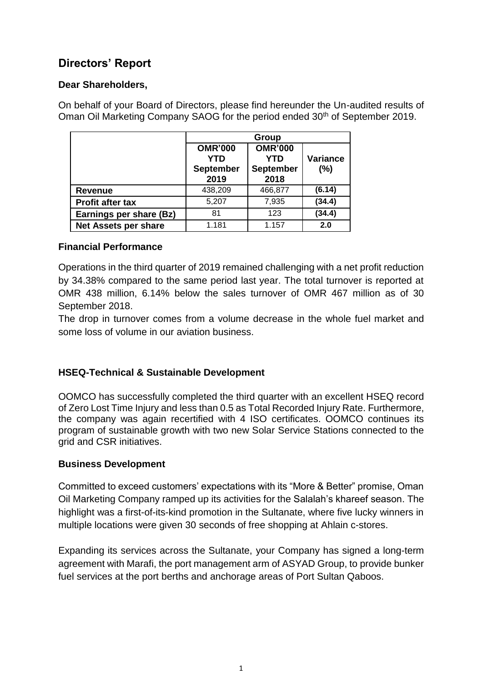# **Directors' Report**

# **Dear Shareholders,**

On behalf of your Board of Directors, please find hereunder the Un-audited results of Oman Oil Marketing Company SAOG for the period ended 30<sup>th</sup> of September 2019.

|                             | Group                                                    |                                                          |                        |
|-----------------------------|----------------------------------------------------------|----------------------------------------------------------|------------------------|
|                             | <b>OMR'000</b><br><b>YTD</b><br><b>September</b><br>2019 | <b>OMR'000</b><br><b>YTD</b><br><b>September</b><br>2018 | <b>Variance</b><br>(%) |
| <b>Revenue</b>              | 438,209                                                  | 466,877                                                  | (6.14)                 |
| <b>Profit after tax</b>     | 5,207                                                    | 7,935                                                    | (34.4)                 |
| Earnings per share (Bz)     | 81                                                       | 123                                                      | (34.4)                 |
| <b>Net Assets per share</b> | 1.181                                                    | 1.157                                                    | 2.0                    |

# **Financial Performance**

Operations in the third quarter of 2019 remained challenging with a net profit reduction by 34.38% compared to the same period last year. The total turnover is reported at OMR 438 million, 6.14% below the sales turnover of OMR 467 million as of 30 September 2018.

The drop in turnover comes from a volume decrease in the whole fuel market and some loss of volume in our aviation business.

# **HSEQ-Technical & Sustainable Development**

OOMCO has successfully completed the third quarter with an excellent HSEQ record of Zero Lost Time Injury and less than 0.5 as Total Recorded Injury Rate. Furthermore, the company was again recertified with 4 ISO certificates. OOMCO continues its program of sustainable growth with two new Solar Service Stations connected to the grid and CSR initiatives.

# **Business Development**

Committed to exceed customers' expectations with its "More & Better" promise, Oman Oil Marketing Company ramped up its activities for the Salalah's khareef season. The highlight was a first-of-its-kind promotion in the Sultanate, where five lucky winners in multiple locations were given 30 seconds of free shopping at Ahlain c-stores.

Expanding its services across the Sultanate, your Company has signed a long-term agreement with Marafi, the port management arm of ASYAD Group, to provide bunker fuel services at the port berths and anchorage areas of Port Sultan Qaboos.